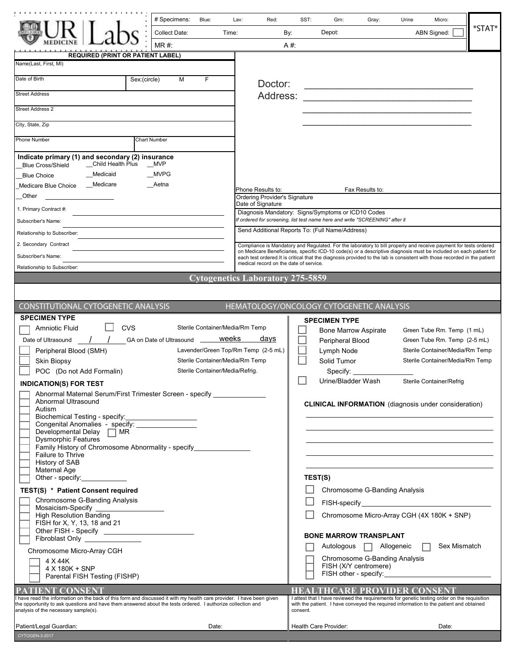|                                                                                                                                                                                                                                                                              | # Specimens:<br>Blue:           |         | Red:<br>Lav:                                                                                                                                                                                                                           |          | SST:<br>Grn:                                                                                                                                                                          | Gray:                                                      | Urine | Micro:                                     |              |  |
|------------------------------------------------------------------------------------------------------------------------------------------------------------------------------------------------------------------------------------------------------------------------------|---------------------------------|---------|----------------------------------------------------------------------------------------------------------------------------------------------------------------------------------------------------------------------------------------|----------|---------------------------------------------------------------------------------------------------------------------------------------------------------------------------------------|------------------------------------------------------------|-------|--------------------------------------------|--------------|--|
|                                                                                                                                                                                                                                                                              | Collect Date:                   | Time:   | By:                                                                                                                                                                                                                                    |          | Depot:                                                                                                                                                                                |                                                            |       | ABN Signed:                                | $*$ STAT $*$ |  |
|                                                                                                                                                                                                                                                                              | $MR#$ :                         |         |                                                                                                                                                                                                                                        | A #:     |                                                                                                                                                                                       |                                                            |       |                                            |              |  |
| <b>REQUIRED (PRINT OR PATIENT LABEL)</b>                                                                                                                                                                                                                                     |                                 |         |                                                                                                                                                                                                                                        |          |                                                                                                                                                                                       |                                                            |       |                                            |              |  |
| Name(Last, First, MI)                                                                                                                                                                                                                                                        |                                 |         |                                                                                                                                                                                                                                        |          |                                                                                                                                                                                       |                                                            |       |                                            |              |  |
| Date of Birth                                                                                                                                                                                                                                                                | Sex:(circle)<br>м<br>F          |         | Doctor:                                                                                                                                                                                                                                |          |                                                                                                                                                                                       |                                                            |       |                                            |              |  |
| <b>Street Address</b>                                                                                                                                                                                                                                                        |                                 |         | Address:                                                                                                                                                                                                                               |          |                                                                                                                                                                                       |                                                            |       |                                            |              |  |
| <b>Street Address 2</b>                                                                                                                                                                                                                                                      |                                 |         |                                                                                                                                                                                                                                        |          |                                                                                                                                                                                       |                                                            |       |                                            |              |  |
| City, State, Zip                                                                                                                                                                                                                                                             |                                 |         |                                                                                                                                                                                                                                        |          |                                                                                                                                                                                       |                                                            |       |                                            |              |  |
|                                                                                                                                                                                                                                                                              |                                 |         |                                                                                                                                                                                                                                        |          |                                                                                                                                                                                       |                                                            |       |                                            |              |  |
| Phone Number                                                                                                                                                                                                                                                                 | <b>Chart Number</b>             |         |                                                                                                                                                                                                                                        |          |                                                                                                                                                                                       |                                                            |       |                                            |              |  |
| Indicate primary (1) and secondary (2) insurance<br>_Child Health Plus                                                                                                                                                                                                       | <b>MVP</b>                      |         |                                                                                                                                                                                                                                        |          |                                                                                                                                                                                       |                                                            |       |                                            |              |  |
| <b>Blue Cross/Shield</b><br>__Medicaid<br><b>Blue Choice</b>                                                                                                                                                                                                                 | <b>MVPG</b>                     |         |                                                                                                                                                                                                                                        |          |                                                                                                                                                                                       |                                                            |       |                                            |              |  |
| Medicare<br>Medicare Blue Choice                                                                                                                                                                                                                                             | __Aetna                         |         | Phone Results to:                                                                                                                                                                                                                      |          |                                                                                                                                                                                       | Fax Results to:                                            |       |                                            |              |  |
| Other                                                                                                                                                                                                                                                                        |                                 |         | Ordering Provider's Signature                                                                                                                                                                                                          |          |                                                                                                                                                                                       |                                                            |       |                                            |              |  |
| 1. Primary Contract #:                                                                                                                                                                                                                                                       |                                 |         | Date of Signature<br>Diagnosis Mandatory: Signs/Symptoms or ICD10 Codes                                                                                                                                                                |          |                                                                                                                                                                                       |                                                            |       |                                            |              |  |
| Subscriber's Name:                                                                                                                                                                                                                                                           |                                 |         | If ordered for screening, list test name here and write "SCREENING" after it                                                                                                                                                           |          |                                                                                                                                                                                       |                                                            |       |                                            |              |  |
| Relationship to Subscriber:                                                                                                                                                                                                                                                  |                                 |         | Send Additional Reports To: (Full Name/Address)                                                                                                                                                                                        |          |                                                                                                                                                                                       |                                                            |       |                                            |              |  |
| 2. Secondary Contract                                                                                                                                                                                                                                                        |                                 |         | Compliance is Mandatory and Regulated. For the laboratory to bill properly and receive payment for tests ordered<br>on Medicare Beneficiaries, specific ICD-10 code(s) or a descriptive diagnosis must be included on each patient for |          |                                                                                                                                                                                       |                                                            |       |                                            |              |  |
| Subscriber's Name:                                                                                                                                                                                                                                                           |                                 |         | each test ordered.It is critical that the diagnosis provided to the lab is consistent with those recorded in the patient<br>medical record on the date of service.                                                                     |          |                                                                                                                                                                                       |                                                            |       |                                            |              |  |
| Relationship to Subscriber:                                                                                                                                                                                                                                                  |                                 |         | <b>Cytogenetics Laboratory 275-5859</b>                                                                                                                                                                                                |          |                                                                                                                                                                                       |                                                            |       |                                            |              |  |
|                                                                                                                                                                                                                                                                              |                                 |         |                                                                                                                                                                                                                                        |          |                                                                                                                                                                                       |                                                            |       |                                            |              |  |
|                                                                                                                                                                                                                                                                              |                                 |         |                                                                                                                                                                                                                                        |          |                                                                                                                                                                                       |                                                            |       |                                            |              |  |
| CONSTITUTIONAL CYTOGENETIC ANALYSIS<br><b>SPECIMEN TYPE</b>                                                                                                                                                                                                                  |                                 |         | HEMATOLOGY/ONCOLOGY CYTOGENETIC ANALYSIS                                                                                                                                                                                               |          |                                                                                                                                                                                       |                                                            |       |                                            |              |  |
| <b>CVS</b><br>Amniotic Fluid                                                                                                                                                                                                                                                 |                                 |         | Sterile Container/Media/Rm Temp                                                                                                                                                                                                        |          | <b>SPECIMEN TYPE</b><br><b>Bone Marrow Aspirate</b>                                                                                                                                   |                                                            |       | Green Tube Rm. Temp (1 mL)                 |              |  |
| Date of Ultrasound                                                                                                                                                                                                                                                           | GA on Date of Ultrasound ______ | weeks   | days                                                                                                                                                                                                                                   |          | Peripheral Blood                                                                                                                                                                      |                                                            |       | Green Tube Rm. Temp (2-5 mL)               |              |  |
| Peripheral Blood (SMH)                                                                                                                                                                                                                                                       |                                 |         | Lavender/Green Top/Rm Temp (2-5 mL)                                                                                                                                                                                                    |          | Lymph Node                                                                                                                                                                            |                                                            |       | Sterile Container/Media/Rm Temp            |              |  |
| <b>Skin Biopsy</b>                                                                                                                                                                                                                                                           |                                 |         | Sterile Container/Media/Rm Temp                                                                                                                                                                                                        |          | Solid Tumor                                                                                                                                                                           |                                                            |       | Sterile Container/Media/Rm Temp            |              |  |
| POC (Do not Add Formalin)                                                                                                                                                                                                                                                    | Sterile Container/Media/Refrig. |         |                                                                                                                                                                                                                                        |          | Specify:<br>Urine/Bladder Wash                                                                                                                                                        |                                                            |       | Sterile Container/Refrig                   |              |  |
| <b>INDICATION(S) FOR TEST</b><br>Abnormal Maternal Serum/First Trimester Screen - specify                                                                                                                                                                                    |                                 |         |                                                                                                                                                                                                                                        |          |                                                                                                                                                                                       |                                                            |       |                                            |              |  |
| Abnormal Ultrasound                                                                                                                                                                                                                                                          |                                 |         |                                                                                                                                                                                                                                        |          | <b>CLINICAL INFORMATION</b> (diagnosis under consideration)                                                                                                                           |                                                            |       |                                            |              |  |
| Autism<br>Biochemical Testing - specify:                                                                                                                                                                                                                                     |                                 |         |                                                                                                                                                                                                                                        |          |                                                                                                                                                                                       |                                                            |       |                                            |              |  |
| Biochemical Testing - specify:<br>Congenital Anomalies - specify: _________________<br>Developmental Delay $\Box$ MR                                                                                                                                                         |                                 |         |                                                                                                                                                                                                                                        |          |                                                                                                                                                                                       |                                                            |       |                                            |              |  |
| <b>Dysmorphic Features</b>                                                                                                                                                                                                                                                   |                                 |         |                                                                                                                                                                                                                                        |          |                                                                                                                                                                                       |                                                            |       |                                            |              |  |
| Family History of Chromosome Abnormality - specify______________<br>Failure to Thrive                                                                                                                                                                                        |                                 |         |                                                                                                                                                                                                                                        |          |                                                                                                                                                                                       |                                                            |       |                                            |              |  |
| History of SAB<br>Maternal Age                                                                                                                                                                                                                                               |                                 |         |                                                                                                                                                                                                                                        |          |                                                                                                                                                                                       |                                                            |       |                                            |              |  |
| Other - specify:                                                                                                                                                                                                                                                             |                                 | TEST(S) |                                                                                                                                                                                                                                        |          |                                                                                                                                                                                       |                                                            |       |                                            |              |  |
| TEST(S) * Patient Consent required                                                                                                                                                                                                                                           |                                 |         |                                                                                                                                                                                                                                        |          |                                                                                                                                                                                       | Chromosome G-Banding Analysis                              |       |                                            |              |  |
| Chromosome G-Banding Analysis<br>Mosaicism-Specify _                                                                                                                                                                                                                         |                                 |         |                                                                                                                                                                                                                                        |          |                                                                                                                                                                                       |                                                            |       |                                            |              |  |
| High Resolution Banding                                                                                                                                                                                                                                                      |                                 |         |                                                                                                                                                                                                                                        |          |                                                                                                                                                                                       |                                                            |       | Chromosome Micro-Array CGH (4X 180K + SNP) |              |  |
| FISH for X, Y, 13, 18 and 21<br>Other FISH - Specify ____________________________                                                                                                                                                                                            |                                 |         |                                                                                                                                                                                                                                        |          |                                                                                                                                                                                       |                                                            |       |                                            |              |  |
| Fibroblast Only _________________                                                                                                                                                                                                                                            |                                 |         |                                                                                                                                                                                                                                        |          | <b>BONE MARROW TRANSPLANT</b>                                                                                                                                                         |                                                            |       | Sex Mismatch                               |              |  |
| Chromosome Micro-Array CGH                                                                                                                                                                                                                                                   |                                 |         |                                                                                                                                                                                                                                        |          |                                                                                                                                                                                       | Autologous   Allogeneic  <br>Chromosome G-Banding Analysis |       |                                            |              |  |
| 4 X 44K<br>4 X 180K + SNP                                                                                                                                                                                                                                                    |                                 |         |                                                                                                                                                                                                                                        |          |                                                                                                                                                                                       | FISH (X/Y centromere)                                      |       |                                            |              |  |
| Parental FISH Testing (FISHP)                                                                                                                                                                                                                                                |                                 |         |                                                                                                                                                                                                                                        |          |                                                                                                                                                                                       |                                                            |       |                                            |              |  |
| PATIENT CONSENT                                                                                                                                                                                                                                                              |                                 |         |                                                                                                                                                                                                                                        |          | <b>HEALTHCARE PROVIDER CONSENT</b>                                                                                                                                                    |                                                            |       |                                            |              |  |
| I have read the information on the back of this form and discussed it with my health care provider. I have been given<br>the opportunity to ask questions and have them answered about the tests ordered. I authorize collection and<br>analysis of the necessary sample(s). |                                 |         |                                                                                                                                                                                                                                        | consent. | I attest that I have reviewed the requirements for genetic testing order on the requisition<br>with the patient. I have conveyed the required information to the patient and obtained |                                                            |       |                                            |              |  |
| Patient/Legal Guardian:<br>CYTOGEN-3-2017                                                                                                                                                                                                                                    |                                 | Date:   |                                                                                                                                                                                                                                        |          | Health Care Provider:                                                                                                                                                                 |                                                            |       | Date:                                      |              |  |
|                                                                                                                                                                                                                                                                              |                                 |         |                                                                                                                                                                                                                                        |          |                                                                                                                                                                                       |                                                            |       |                                            |              |  |